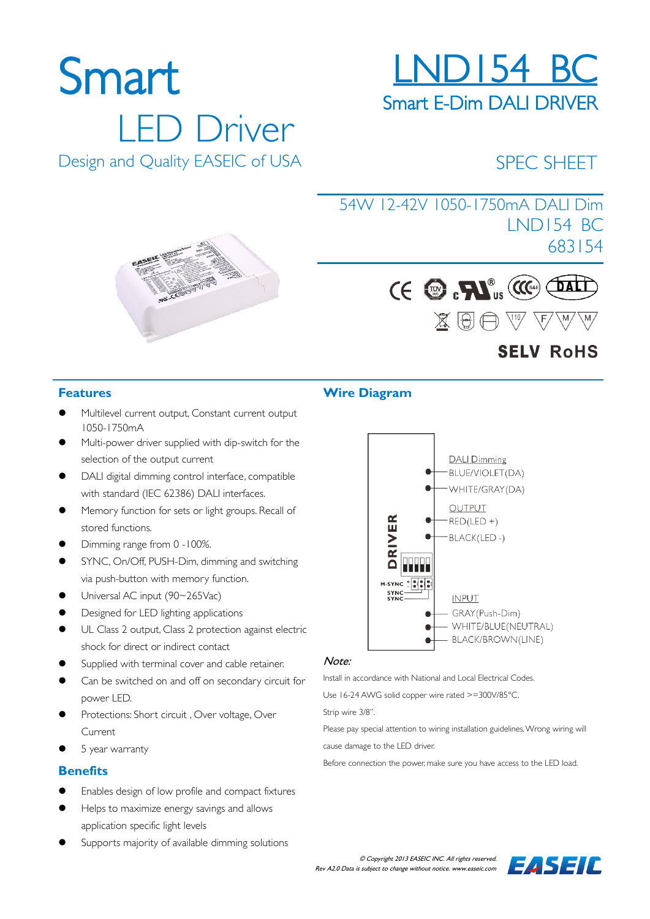# 54W 12-42V 1050-1750mA DALI Dim

## Design and Quality EASEIC of USA

LED Driver





## **SELV RoHS**

SPEC SHEET

LND154 BC

683154

#### **Features**

Smart

- Multilevel current output, Constant current output 1050-1750mA
- Multi-power driver supplied with dip-switch for the selection of the output current
- DALI digital dimming control interface, compatible with standard (IEC 62386) DALI interfaces.
- Memory function for sets or light groups. Recall of stored functions.
- Dimming range from 0 -100%.
- SYNC, On/Off, PUSH-Dim, dimming and switching via push-button with memory function.
- Universal AC input (90~265Vac)
- Designed for LED lighting applications
- UL Class 2 output, Class 2 protection against electric shock for direct or indirect contact
- Supplied with terminal cover and cable retainer.
- Can be switched on and off on secondary circuit for power LED.
- Protections: Short circuit , Over voltage, Over Current
- 5 year warranty

#### **Benefits**

- Enables design of low profile and compact fixtures
- Helps to maximize energy savings and allows application specific light levels
- Supports majority of available dimming solutions

#### **Wire Diagram**



#### Note:

Install in accordance with National and Local Electrical Codes.

Use 16-24 AWG solid copper wire rated >=300V/85°C.

Strip wire 3/8".

Please pay special attention to wiring installation guidelines, Wrong wiring will cause damage to the LED driver.

Before connection the power, make sure you have access to the LED load.





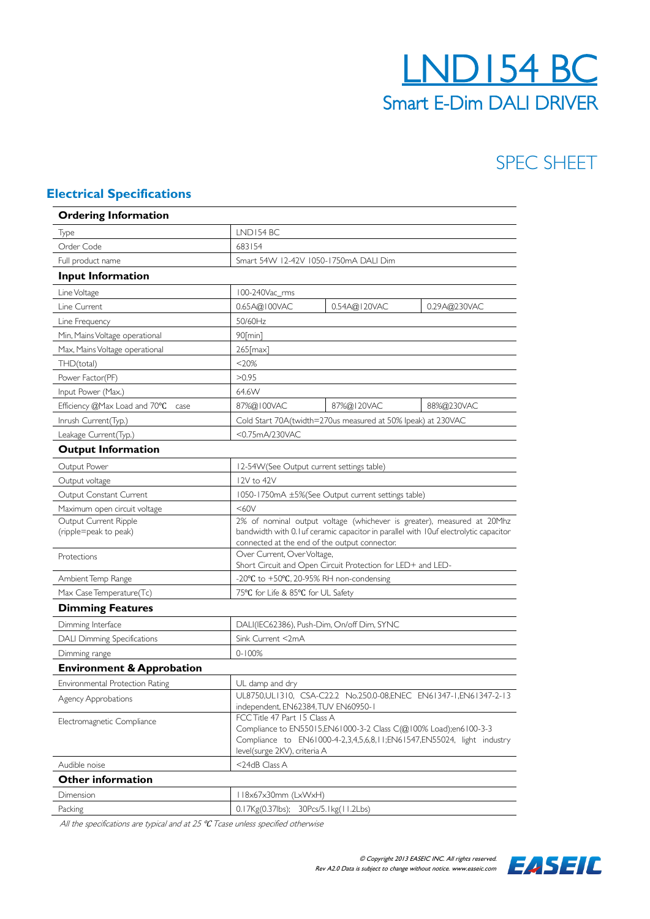## LND154 BC Smart E-Dim DALI DRIVER

## SPEC SHEET

#### **Electrical Specifications**

| <b>Ordering Information</b>          |                                                                                                                                                                                                            |  |  |  |  |
|--------------------------------------|------------------------------------------------------------------------------------------------------------------------------------------------------------------------------------------------------------|--|--|--|--|
| Type                                 | LND154 BC                                                                                                                                                                                                  |  |  |  |  |
| Order Code                           | 683154                                                                                                                                                                                                     |  |  |  |  |
| Full product name                    | Smart 54W 12-42V 1050-1750mA DALI Dim                                                                                                                                                                      |  |  |  |  |
| <b>Input Information</b>             |                                                                                                                                                                                                            |  |  |  |  |
| Line Voltage                         | 100-240Vac_rms                                                                                                                                                                                             |  |  |  |  |
| Line Current                         | 0.65A@100VAC<br>0.54A@120VAC<br>0.29A@230VAC                                                                                                                                                               |  |  |  |  |
| Line Frequency                       | 50/60Hz                                                                                                                                                                                                    |  |  |  |  |
| Min, Mains Voltage operational       | $90$ [min]                                                                                                                                                                                                 |  |  |  |  |
| Max, Mains Voltage operational       | $265$ [max]                                                                                                                                                                                                |  |  |  |  |
| THD(total)                           | $<$ 20%                                                                                                                                                                                                    |  |  |  |  |
| Power Factor(PF)                     | >0.95                                                                                                                                                                                                      |  |  |  |  |
| Input Power (Max.)                   | 64.6W                                                                                                                                                                                                      |  |  |  |  |
| Efficiency @Max Load and 70°C case   | 87%@100VAC<br>87%@120VAC<br>88%@230VAC                                                                                                                                                                     |  |  |  |  |
| Inrush Current(Typ.)                 | Cold Start 70A(twidth=270us measured at 50% lpeak) at 230VAC                                                                                                                                               |  |  |  |  |
| Leakage Current(Typ.)                | <0.75mA/230VAC                                                                                                                                                                                             |  |  |  |  |
| <b>Output Information</b>            |                                                                                                                                                                                                            |  |  |  |  |
| Output Power                         | 12-54W(See Output current settings table)                                                                                                                                                                  |  |  |  |  |
| Output voltage                       | 12V to 42V                                                                                                                                                                                                 |  |  |  |  |
| Output Constant Current              | 1050-1750mA ±5%(See Output current settings table)                                                                                                                                                         |  |  |  |  |
| Maximum open circuit voltage         | <60V                                                                                                                                                                                                       |  |  |  |  |
| Output Current Ripple                | 2% of nominal output voltage (whichever is greater), measured at 20Mhz                                                                                                                                     |  |  |  |  |
| (ripple=peak to peak)                | bandwidth with 0. I uf ceramic capacitor in parallel with 10uf electrolytic capacitor                                                                                                                      |  |  |  |  |
| Protections                          | connected at the end of the output connector.<br>Over Current, Over Voltage,                                                                                                                               |  |  |  |  |
|                                      | Short Circuit and Open Circuit Protection for LED+ and LED-                                                                                                                                                |  |  |  |  |
| Ambient Temp Range                   | -20°C to +50°C, 20-95% RH non-condensing                                                                                                                                                                   |  |  |  |  |
| Max Case Temperature(Tc)             | 75°C for Life & 85°C for UL Safety                                                                                                                                                                         |  |  |  |  |
| <b>Dimming Features</b>              |                                                                                                                                                                                                            |  |  |  |  |
| Dimming Interface                    | DALI(IEC62386), Push-Dim, On/off Dim, SYNC                                                                                                                                                                 |  |  |  |  |
| <b>DALI Dimming Specifications</b>   | Sink Current <2mA                                                                                                                                                                                          |  |  |  |  |
| Dimming range                        | $0 - 100%$                                                                                                                                                                                                 |  |  |  |  |
| <b>Environment &amp; Approbation</b> |                                                                                                                                                                                                            |  |  |  |  |
| Environmental Protection Rating      | UL damp and dry                                                                                                                                                                                            |  |  |  |  |
| Agency Approbations                  | UL8750,UL1310, CSA-C22.2 No.250.0-08,ENEC EN61347-1,EN61347-2-13<br>independent, EN62384, TUV EN60950-1                                                                                                    |  |  |  |  |
| Electromagnetic Compliance           | FCC Title 47 Part 15 Class A<br>Compliance to EN55015,EN61000-3-2 Class C(@100% Load);en6100-3-3<br>Compliance to EN61000-4-2,3,4,5,6,8,11;EN61547,EN55024, light industry<br>level(surge 2KV), criteria A |  |  |  |  |
| Audible noise                        | <24dB Class A                                                                                                                                                                                              |  |  |  |  |
| <b>Other information</b>             |                                                                                                                                                                                                            |  |  |  |  |
| Dimension                            | 118x67x30mm (LxWxH)                                                                                                                                                                                        |  |  |  |  |
| Packing                              | 0.17Kg(0.37lbs); 30Pcs/5.1kg(11.2Lbs)                                                                                                                                                                      |  |  |  |  |

All the specifications are typical and at 25  $°C$  Tcase unless specified otherwise

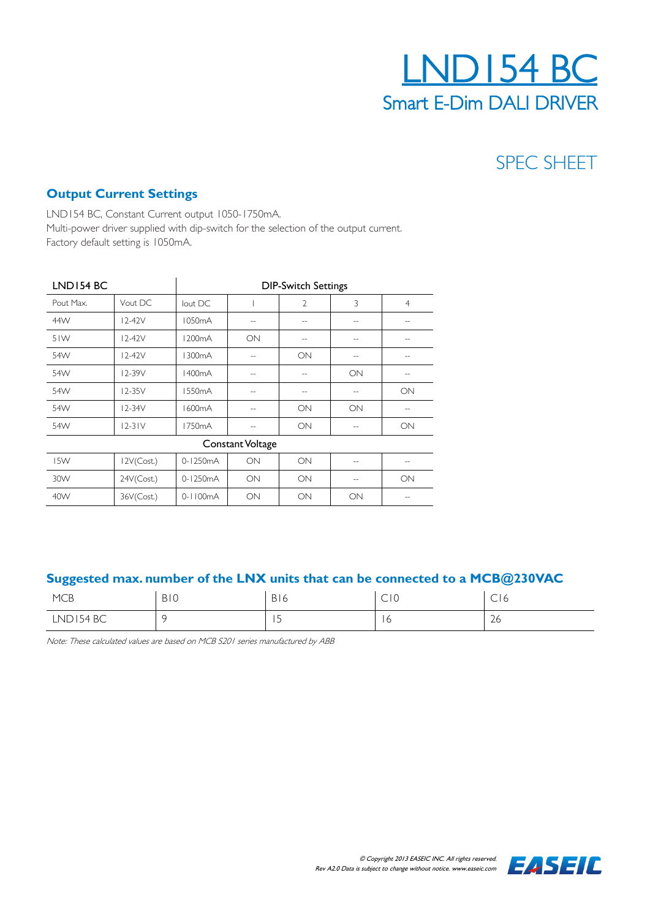

## SPEC SHEET

#### **Output Current Settings**

LND154 BC, Constant Current output 1050-1750mA. Multi-power driver supplied with dip-switch for the selection of the output current. Factory default setting is 1050mA.

| LND154 BC        |            | <b>DIP-Switch Settings</b> |        |                |     |                |  |
|------------------|------------|----------------------------|--------|----------------|-----|----------------|--|
| Pout Max.        | Vout DC    | lout DC                    |        | $\overline{2}$ | 3   | $\overline{4}$ |  |
| 44W              | $12-42V$   | 1050mA                     |        |                |     |                |  |
| 51W              | $12-42V$   | 1200 <sub>m</sub> A        | ON     | $-$            | $-$ | $-$            |  |
| 54W              | $12-42V$   | 1300mA                     | $\sim$ | ON             | $-$ | $-$            |  |
| 54W              | 12-39V     | 1400 <sub>m</sub> A        | --     | $-$            | ON  | --             |  |
| 54W              | $12-35V$   | 1550 <sub>m</sub> A        |        | $-$            | $-$ | ON             |  |
| 54W              | $12 - 34V$ | 1600mA                     |        | ON             | ON  | $-$            |  |
| 54W              | $12-31V$   | 1750mA                     | $-$    | ON             | $-$ | ON             |  |
| Constant Voltage |            |                            |        |                |     |                |  |
| I5W              | 12V(Cost.) | 0-1250mA                   | ON     | ON             | $-$ | $- -$          |  |
| 30W              | 24V(Cost.) | 0-1250mA                   | ON     | ON             | --  | ON             |  |
| 40W              | 36V(Cost.) | $0 - 1100mA$               | ON     | ON             | ON  | --             |  |

#### **Suggested max. number of the LNX units that can be connected to a MCB@230VAC**

| <b>MCB</b> | BI0 | D <sub>1</sub><br>DI O   | $\sim$ $\sim$<br>$\sim$<br>$\sim$ 1 $\circ$ | $\sim$<br>C10 |
|------------|-----|--------------------------|---------------------------------------------|---------------|
| LND154 BC  |     | $\overline{\phantom{0}}$ | r<br><b>1 V</b>                             | $\sim$<br>∠o  |

Note: These calculated values are based on MCB S201 series manufactured by ABB

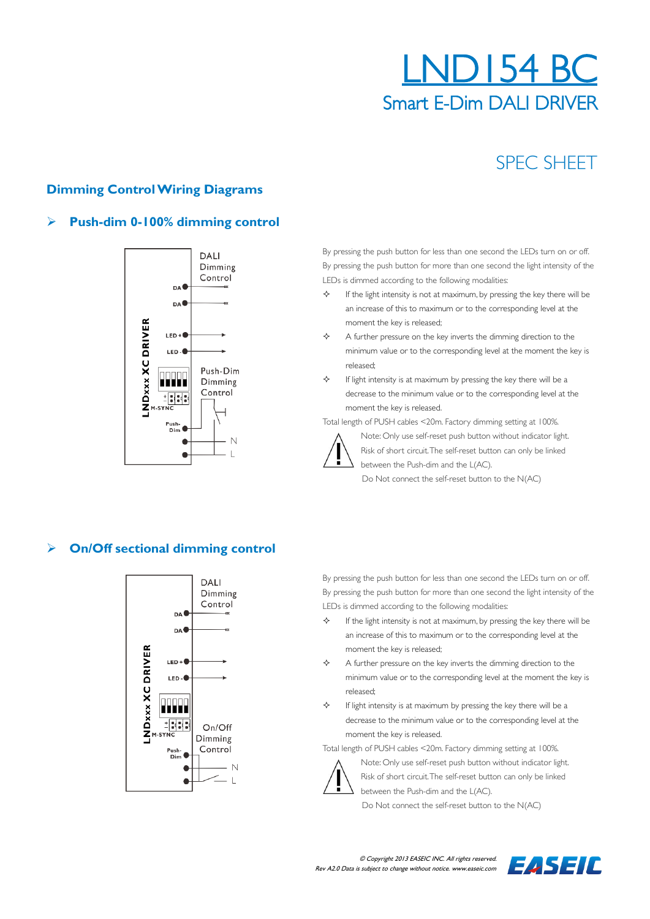## LND154 BC Smart E-Dim DALI DRIVER

## SPEC SHEET

#### **Dimming Control Wiring Diagrams**

#### **Push-dim 0-100% dimming control**



By pressing the push button for less than one second the LEDs turn on or off. By pressing the push button for more than one second the light intensity of the LEDs is dimmed according to the following modalities:

 If the light intensity is not at maximum, by pressing the key there will be an increase of this to maximum or to the corresponding level at the moment the key is released;

 $\Leftrightarrow$  A further pressure on the key inverts the dimming direction to the minimum value or to the corresponding level at the moment the key is released;

 $\diamond$  If light intensity is at maximum by pressing the key there will be a decrease to the minimum value or to the corresponding level at the moment the key is released.

Total length of PUSH cables <20m. Factory dimming setting at 100%.



Note: Only use self-reset push button without indicator light. Risk of short circuit. The self-reset button can only be linked between the Push-dim and the L(AC).

Do Not connect the self-reset button to the N(AC)

#### **On/Off sectional dimming control**



By pressing the push button for less than one second the LEDs turn on or off. By pressing the push button for more than one second the light intensity of the LEDs is dimmed according to the following modalities:

- $\diamond$  If the light intensity is not at maximum, by pressing the key there will be an increase of this to maximum or to the corresponding level at the moment the key is released;
- $\Leftrightarrow$  A further pressure on the key inverts the dimming direction to the minimum value or to the corresponding level at the moment the key is released;
- $\diamond$  If light intensity is at maximum by pressing the key there will be a decrease to the minimum value or to the corresponding level at the moment the key is released.

Total length of PUSH cables <20m. Factory dimming setting at 100%.



Note: Only use self-reset push button without indicator light. Risk of short circuit. The self-reset button can only be linked between the Push-dim and the L(AC).

Do Not connect the self-reset button to the N(AC)

 © Copyright 2013 EASEIC INC. All rights reserved. Rev A2.0 Data is subject to change without notice. www.easeic.com

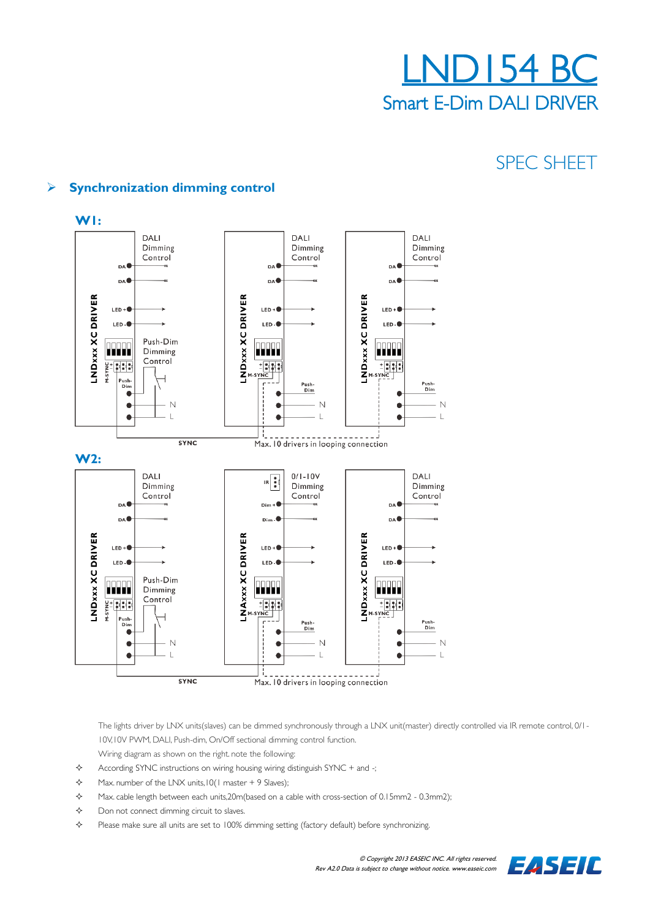

## SPEC SHEET

#### **Synchronization dimming control**



The lights driver by LNX units(slaves) can be dimmed synchronously through a LNX unit(master) directly controlled via IR remote control, 0/1-10V,10V PWM, DALI, Push-dim, On/Off sectional dimming control function.

- Wiring diagram as shown on the right. note the following:
- $\diamond$  According SYNC instructions on wiring housing wiring distinguish SYNC + and -;
- $\div$  Max. number of the LNX units,  $10(1 \text{ master} + 9 \text{ Slaves})$ ;
- $\lozenge$  Max. cable length between each units, 20m (based on a cable with cross-section of 0.15mm2 0.3mm2);
- $\diamond$  Don not connect dimming circuit to slaves.
- Please make sure all units are set to 100% dimming setting (factory default) before synchronizing.

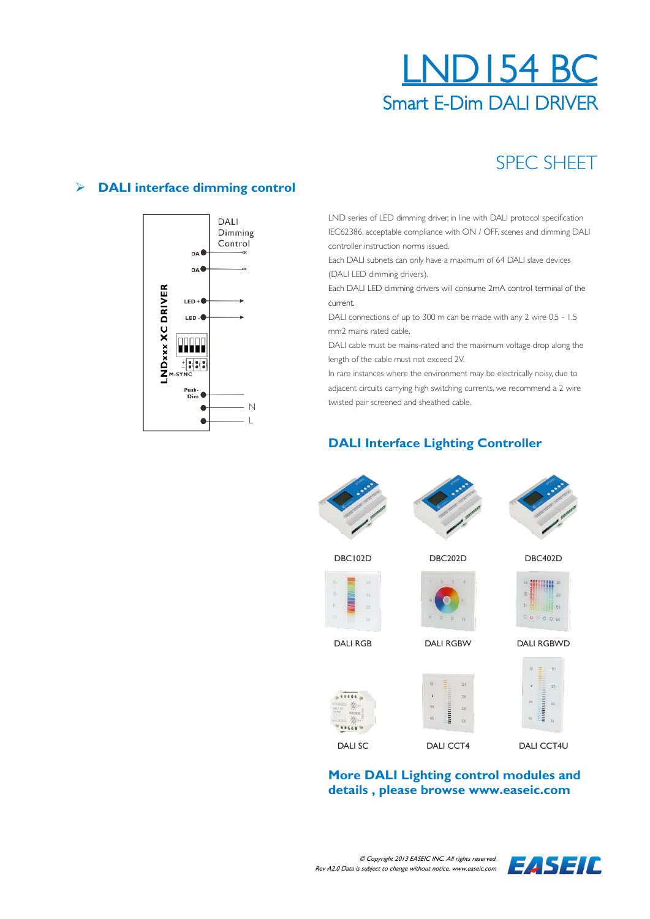## LND154 BC Smart E-Dim DALI DRIVER

## SPEC SHEET

#### **DALI interface dimming control**



LND series of LED dimming driver, in line with DALI protocol specification IEC62386, acceptable compliance with ON / OFF, scenes and dimming DALI controller instruction norms issued.

Each DALI subnets can only have a maximum of 64 DALI slave devices (DALI LED dimming drivers).

Each DALI LED dimming drivers will consume 2mA control terminal of the current.

DALI connections of up to 300 m can be made with any 2 wire 0.5 - 1.5 mm2 mains rated cable.

DALI cable must be mains-rated and the maximum voltage drop along the length of the cable must not exceed 2V.

In rare instances where the environment may be electrically noisy, due to adjacent circuits carrying high switching currents, we recommend a 2 wire twisted pair screened and sheathed cable.

#### **DALI Interface Lighting Controller**



**More DALI Lighting control modules and details , please browse www.easeic.com**